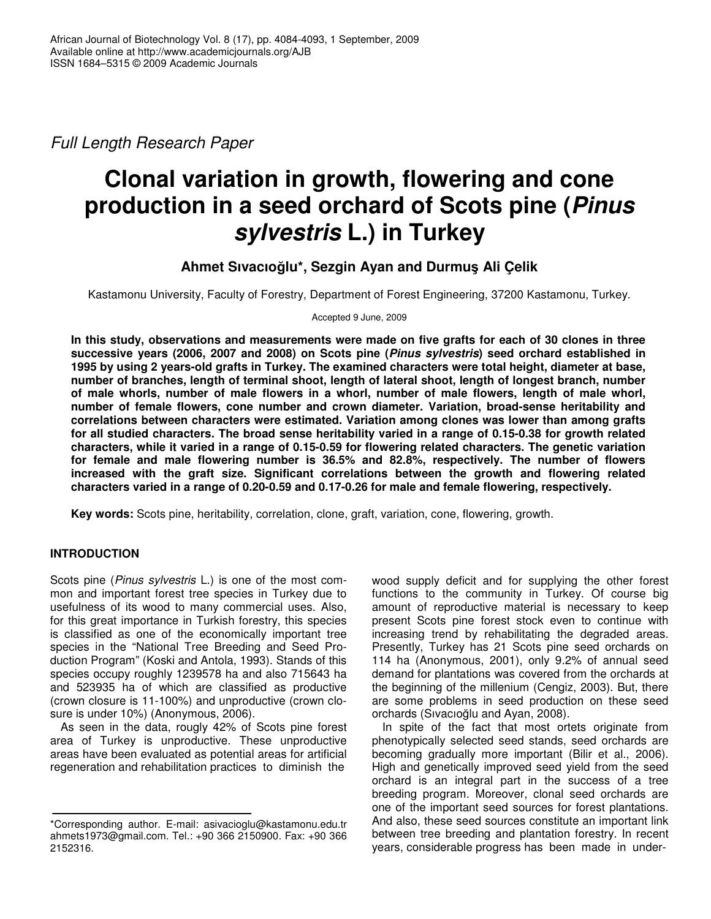*Full Length Research Paper*

# **Clonal variation in growth, flowering and cone production in a seed orchard of Scots pine (***Pinus sylvestris* **L.) in Turkey**

# **Ahmet Sıvacıolu\*, Sezgin Ayan and Durmu**- **Ali Çelik**

Kastamonu University, Faculty of Forestry, Department of Forest Engineering, 37200 Kastamonu, Turkey.

Accepted 9 June, 2009

In this study, observations and measurements were made on five grafts for each of 30 clones in three **successive years (2006, 2007 and 2008) on Scots pine (***Pinus sylvestris***) seed orchard established in 1995 by using 2 years-old grafts in Turkey. The examined characters were total height, diameter at base, number of branches, length of terminal shoot, length of lateral shoot, length of longest branch, number of male whorls, number of male flowers in a whorl, number of male flowers, length of male whorl, number of female flowers, cone number and crown diameter. Variation, broad-sense heritability and correlations between characters were estimated. Variation among clones was lower than among grafts** for all studied characters. The broad sense heritability varied in a range of 0.15-0.38 for growth related **characters, while it varied in a range of 0.15-0.59 for flowering related characters. The genetic variation for female and male flowering number is 36.5% and 82.8%, respectively. The number of flowers increased with the graft size. Significant correlations between the growth and flowering related characters varied in a range of 0.20-0.59 and 0.17-0.26 for male and female flowering, respectively.**

**Key words:** Scots pine, heritability, correlation, clone, graft, variation, cone, flowering, growth.

# **INTRODUCTION**

Scots pine (*Pinus sylvestris* L.) is one of the most common and important forest tree species in Turkey due to usefulness of its wood to many commercial uses. Also, for this great importance in Turkish forestry, this species is classified as one of the economically important tree species in the "National Tree Breeding and Seed Production Program" (Koski and Antola, 1993). Stands of this species occupy roughly 1239578 ha and also 715643 ha and 523935 ha of which are classified as productive (crown closure is 11-100%) and unproductive (crown closure is under 10%) (Anonymous, 2006).

As seen in the data, rougly 42% of Scots pine forest area of Turkey is unproductive. These unproductive areas have been evaluated as potential areas for artificial regeneration and rehabilitation practices to diminish the

wood supply deficit and for supplying the other forest functions to the community in Turkey. Of course big amount of reproductive material is necessary to keep present Scots pine forest stock even to continue with increasing trend by rehabilitating the degraded areas. Presently, Turkey has 21 Scots pine seed orchards on 114 ha (Anonymous, 2001), only 9.2% of annual seed demand for plantations was covered from the orchards at the beginning of the millenium (Cengiz, 2003). But, there are some problems in seed production on these seed orchards (Sıvacıoğlu and Ayan, 2008).

In spite of the fact that most ortets originate from phenotypically selected seed stands, seed orchards are becoming gradually more important (Bilir et al., 2006). High and genetically improved seed yield from the seed orchard is an integral part in the success of a tree breeding program. Moreover, clonal seed orchards are one of the important seed sources for forest plantations. And also, these seed sources constitute an important link between tree breeding and plantation forestry. In recent years, considerable progress has been made in under-

<sup>\*</sup>Corresponding author. E-mail: asivacioglu@kastamonu.edu.tr ahmets1973@gmail.com. Tel.: +90 366 2150900. Fax: +90 366 2152316.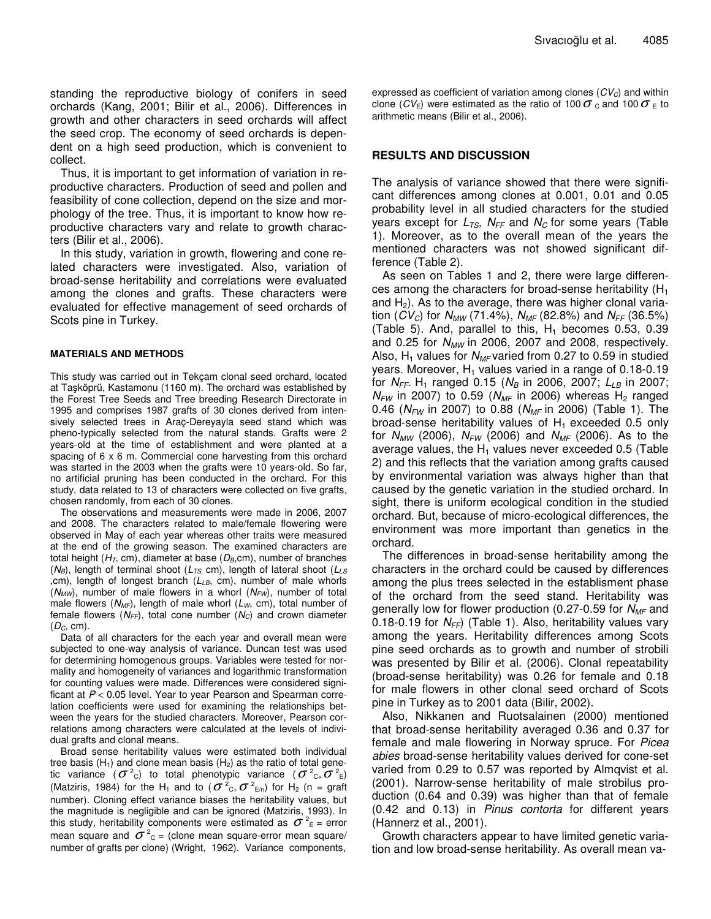standing the reproductive biology of conifers in seed orchards (Kang, 2001; Bilir et al., 2006). Differences in growth and other characters in seed orchards will affect the seed crop. The economy of seed orchards is dependent on a high seed production, which is convenient to collect.

Thus, it is important to get information of variation in reproductive characters. Production of seed and pollen and feasibility of cone collection, depend on the size and morphology of the tree. Thus, it is important to know how reproductive characters vary and relate to growth characters (Bilir et al., 2006).

In this study, variation in growth, flowering and cone related characters were investigated. Also, variation of broad-sense heritability and correlations were evaluated among the clones and grafts. These characters were evaluated for effective management of seed orchards of Scots pine in Turkey.

#### **MATERIALS AND METHODS**

This study was carried out in Tekçam clonal seed orchard, located at Taşköprü, Kastamonu (1160 m). The orchard was established by the Forest Tree Seeds and Tree breeding Research Directorate in 1995 and comprises 1987 grafts of 30 clones derived from intensively selected trees in Araç-Dereyayla seed stand which was pheno-typically selected from the natural stands. Grafts were 2 years-old at the time of establishment and were planted at a spacing of 6 x 6 m. Commercial cone harvesting from this orchard was started in the 2003 when the grafts were 10 years-old. So far, no artificial pruning has been conducted in the orchard. For this study, data related to 13 of characters were collected on five grafts, chosen randomly, from each of 30 clones.

The observations and measurements were made in 2006, 2007 and 2008. The characters related to male/female flowering were observed in May of each year whereas other traits were measured at the end of the growing season. The examined characters are total height (*HT*, cm), diameter at base (*DB*,cm), number of branches (*NB*), length of terminal shoot (*LTS*, cm), length of lateral shoot (*LLS ,*cm), length of longest branch (*LLB*, cm), number of male whorls (*NMW*), number of male flowers in a whorl (*NFW*), number of total male flowers (*NMF*), length of male whorl (*LW*, cm), total number of female flowers (*NFF*), total cone number (*NC*) and crown diameter (*DC*, cm).

Data of all characters for the each year and overall mean were subjected to one-way analysis of variance. Duncan test was used for determining homogenous groups. Variables were tested for normality and homogeneity of variances and logarithmic transformation for counting values were made. Differences were considered significant at *P* < 0.05 level. Year to year Pearson and Spearman correlation coefficients were used for examining the relationships between the years for the studied characters. Moreover, Pearson correlations among characters were calculated at the levels of individual grafts and clonal means.

Broad sense heritability values were estimated both individual tree basis  $(H_1)$  and clone mean basis  $(H_2)$  as the ratio of total genetic variance  $(\sigma^2$ c) to total phenotypic variance  $(\sigma^2$ <sub>C+</sub> $\sigma^2$ <sub>E</sub>) (Matziris, 1984) for the H<sub>1</sub> and to ( $\sigma$ <sup>2</sup><sub>C+</sub> $\sigma$ <sup>2</sup><sub>E/n</sub>) for H<sub>2</sub> (n = graft number). Cloning effect variance biases the heritability values, but the magnitude is negligible and can be ignored (Matziris, 1993). In this study, heritability components were estimated as  $\sigma^{\scriptscriptstyle 2}{}_{\scriptscriptstyle \rm E}$  = error mean square and  $\sigma^{\,2}_{\,\,\mathrm{c}}$  = (clone mean square-error mean square/ number of grafts per clone) (Wright, 1962). Variance components,

expressed as coefficient of variation among clones  $(CV_C)$  and within clone ( $CV_E$ ) were estimated as the ratio of 100  $\sigma$ <sub>c</sub> and 100  $\sigma$ <sub>E</sub> to arithmetic means (Bilir et al., 2006).

## **RESULTS AND DISCUSSION**

The analysis of variance showed that there were significant differences among clones at 0.001, 0.01 and 0.05 probability level in all studied characters for the studied years except for *LTS*, *NFF* and *N<sup>C</sup>* for some years (Table 1). Moreover, as to the overall mean of the years the mentioned characters was not showed significant difference (Table 2).

As seen on Tables 1 and 2, there were large differences among the characters for broad-sense heritability  $(H_1)$ and  $H_2$ ). As to the average, there was higher clonal variation (*CV<sub>C</sub>*) for  $N_{MW}$  (71.4%),  $N_{MF}$  (82.8%) and  $N_{FF}$  (36.5%) (Table 5). And, parallel to this,  $H_1$  becomes 0.53, 0.39 and 0.25 for *NMW* in 2006, 2007 and 2008, respectively. Also,  $H_1$  values for  $N_{MF}$  varied from 0.27 to 0.59 in studied years. Moreover,  $H_1$  values varied in a range of 0.18-0.19 for  $N_{FF}$ . H<sub>1</sub> ranged 0.15 ( $N_B$  in 2006, 2007;  $L_{LB}$  in 2007;  $N_{FW}$  in 2007) to 0.59 ( $N_{MF}$  in 2006) whereas H<sub>2</sub> ranged 0.46 (*NFW* in 2007) to 0.88 (*NMF* in 2006) (Table 1). The broad-sense heritability values of  $H_1$  exceeded 0.5 only for *NMW* (2006), *NFW* (2006) and *NMF* (2006). As to the average values, the  $H_1$  values never exceeded 0.5 (Table 2) and this reflects that the variation among grafts caused by environmental variation was always higher than that caused by the genetic variation in the studied orchard. In sight, there is uniform ecological condition in the studied orchard. But, because of micro-ecological differences, the environment was more important than genetics in the orchard.

The differences in broad-sense heritability among the characters in the orchard could be caused by differences among the plus trees selected in the establisment phase of the orchard from the seed stand. Heritability was generally low for flower production (0.27-0.59 for *NMF* and 0.18-0.19 for *NFF*) (Table 1). Also, heritability values vary among the years. Heritability differences among Scots pine seed orchards as to growth and number of strobili was presented by Bilir et al. (2006). Clonal repeatability (broad-sense heritability) was 0.26 for female and 0.18 for male flowers in other clonal seed orchard of Scots pine in Turkey as to 2001 data (Bilir, 2002).

Also, Nikkanen and Ruotsalainen (2000) mentioned that broad-sense heritability averaged 0.36 and 0.37 for female and male flowering in Norway spruce. For *Picea abies* broad-sense heritability values derived for cone-set varied from 0.29 to 0.57 was reported by Almqvist et al. (2001). Narrow-sense heritability of male strobilus production (0.64 and 0.39) was higher than that of female (0.42 and 0.13) in *Pinus contorta* for different years (Hannerz et al., 2001).

Growth characters appear to have limited genetic variation and low broad-sense heritability. As overall mean va-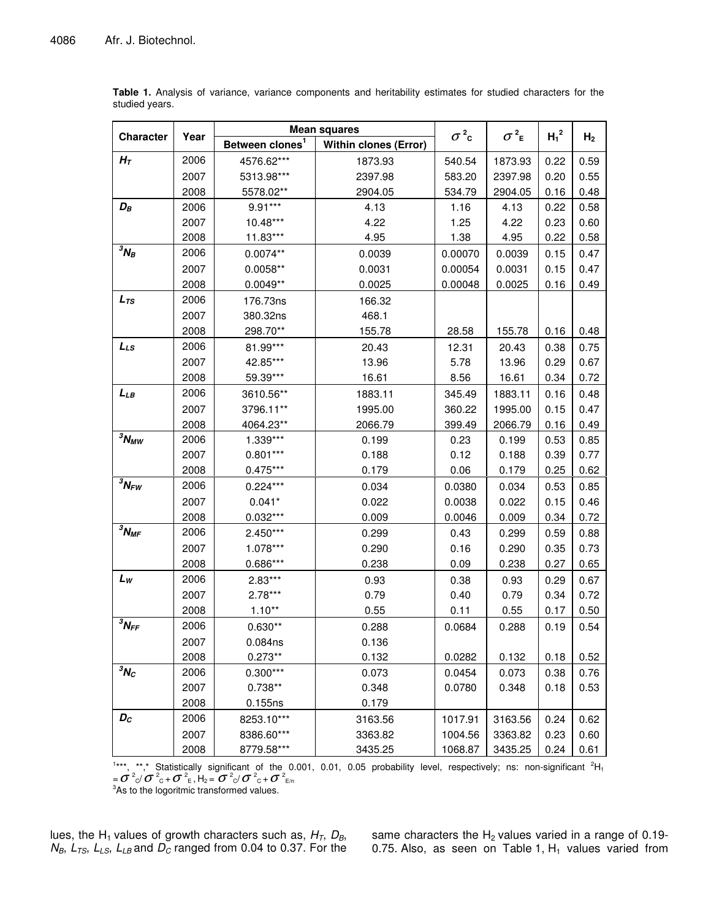|                     | Year |                             | <b>Mean squares</b>          | $\sigma^2$ c | $\sigma^2$ <sub>E</sub> | $H_1^2$ |                |
|---------------------|------|-----------------------------|------------------------------|--------------|-------------------------|---------|----------------|
| <b>Character</b>    |      | Between clones <sup>1</sup> | <b>Within clones (Error)</b> |              |                         |         | H <sub>2</sub> |
| $H_{\mathcal{T}}$   | 2006 | 4576.62***                  | 1873.93                      | 540.54       | 1873.93                 | 0.22    | 0.59           |
|                     | 2007 | 5313.98***                  | 2397.98                      | 583.20       | 2397.98                 | 0.20    | 0.55           |
|                     | 2008 | 5578.02**                   | 2904.05                      | 534.79       | 2904.05                 | 0.16    | 0.48           |
| $D_B$               | 2006 | $9.91***$                   | 4.13                         | 1.16         | 4.13                    | 0.22    | 0.58           |
|                     | 2007 | 10.48***                    | 4.22                         | 1.25         | 4.22                    | 0.23    | 0.60           |
|                     | 2008 | 11.83***                    | 4.95                         | 1.38         | 4.95                    | 0.22    | 0.58           |
| ${}^3N_B$           | 2006 | $0.0074**$                  | 0.0039                       | 0.00070      | 0.0039                  | 0.15    | 0.47           |
|                     | 2007 | $0.0058**$                  | 0.0031                       | 0.00054      | 0.0031                  | 0.15    | 0.47           |
|                     | 2008 | $0.0049**$                  | 0.0025                       | 0.00048      | 0.0025                  | 0.16    | 0.49           |
| $L_{TS}$            | 2006 | 176.73ns                    | 166.32                       |              |                         |         |                |
|                     | 2007 | 380.32ns                    | 468.1                        |              |                         |         |                |
|                     | 2008 | 298.70**                    | 155.78                       | 28.58        | 155.78                  | 0.16    | 0.48           |
| $L_{LS}$            | 2006 | 81.99***                    | 20.43                        | 12.31        | 20.43                   | 0.38    | 0.75           |
|                     | 2007 | 42.85***                    | 13.96                        | 5.78         | 13.96                   | 0.29    | 0.67           |
|                     | 2008 | 59.39***                    | 16.61                        | 8.56         | 16.61                   | 0.34    | 0.72           |
| LLB                 | 2006 | 3610.56**                   | 1883.11                      | 345.49       | 1883.11                 | 0.16    | 0.48           |
|                     | 2007 | 3796.11**                   | 1995.00                      | 360.22       | 1995.00                 | 0.15    | 0.47           |
|                     | 2008 | 4064.23**                   | 2066.79                      | 399.49       | 2066.79                 | 0.16    | 0.49           |
| $3N_{MW}$           | 2006 | $1.339***$                  | 0.199                        | 0.23         | 0.199                   | 0.53    | 0.85           |
|                     | 2007 | $0.801***$                  | 0.188                        | 0.12         | 0.188                   | 0.39    | 0.77           |
|                     | 2008 | $0.475***$                  | 0.179                        | 0.06         | 0.179                   | 0.25    | 0.62           |
| $3N_{FW}$           | 2006 | $0.224***$                  | 0.034                        | 0.0380       | 0.034                   | 0.53    | 0.85           |
|                     | 2007 | $0.041*$                    | 0.022                        | 0.0038       | 0.022                   | 0.15    | 0.46           |
|                     | 2008 | $0.032***$                  | 0.009                        | 0.0046       | 0.009                   | 0.34    | 0.72           |
| ${}^3N_{MF}$        | 2006 | $2.450***$                  | 0.299                        | 0.43         | 0.299                   | 0.59    | 0.88           |
|                     | 2007 | 1.078***                    | 0.290                        | 0.16         | 0.290                   | 0.35    | 0.73           |
|                     | 2008 | $0.686***$                  | 0.238                        | 0.09         | 0.238                   | 0.27    | 0.65           |
| $L_{W}$             | 2006 | $2.83***$                   | 0.93                         | 0.38         | 0.93                    | 0.29    | 0.67           |
|                     | 2007 | $2.78***$                   | 0.79                         | 0.40         | 0.79                    | 0.34    | 0.72           |
|                     | 2008 | $1.10**$                    | 0.55                         | 0.11         | 0.55                    | 0.17    | 0.50           |
| ${}^3N_{\text{FF}}$ | 2006 | $0.630**$                   | 0.288                        | 0.0684       | 0.288                   | 0.19    | 0.54           |
|                     | 2007 | 0.084ns                     | 0.136                        |              |                         |         |                |
|                     | 2008 | $0.273**$                   | 0.132                        | 0.0282       | 0.132                   | 0.18    | 0.52           |
| ${}^3N_C$           | 2006 | $0.300***$                  | 0.073                        | 0.0454       | 0.073                   | 0.38    | 0.76           |
|                     | 2007 | $0.738**$                   | 0.348                        | 0.0780       | 0.348                   | 0.18    | 0.53           |
|                     | 2008 | 0.155ns                     | 0.179                        |              |                         |         |                |
| $\bm{D_C}$          | 2006 | 8253.10***                  | 3163.56                      | 1017.91      | 3163.56                 | 0.24    | 0.62           |
|                     | 2007 | 8386.60***                  | 3363.82                      | 1004.56      | 3363.82                 | 0.23    | 0.60           |
|                     | 2008 | 8779.58***                  | 3435.25                      | 1068.87      | 3435.25                 | 0.24    | 0.61           |

**Table 1.** Analysis of variance, variance components and heritability estimates for studied characters for the studied years.

<sup>1</sup>\*\*\*, \*\*,\* Statistically significant of the 0.001, 0.01, 0.05 probability level, respectively; ns: non-significant <sup>2</sup>H<sub>1</sub> =  $\sigma$  <sup>2</sup><sub>C</sub>/  $\sigma$  <sup>2</sup><sub>C</sub> +  $\sigma$  <sup>2</sup><sub>E</sub>, H<sub>2</sub> =  $\sigma$  <sup>2</sup><sub>C</sub>/  $\sigma$  <sup>2</sup><sub>C</sub> +  $\sigma$  <sup>2</sup><sub>E/n</sub><br><sup>3</sup>As to the logoritmic transformed values.

lues, the H<sup>1</sup> values of growth characters such as, *HT*, *DB*, *NB*, *LTS*, *LLS*, *LLB* and *D<sup>C</sup>* ranged from 0.04 to 0.37. For the

same characters the  $H_2$  values varied in a range of 0.19-0.75. Also, as seen on Table 1,  $H_1$  values varied from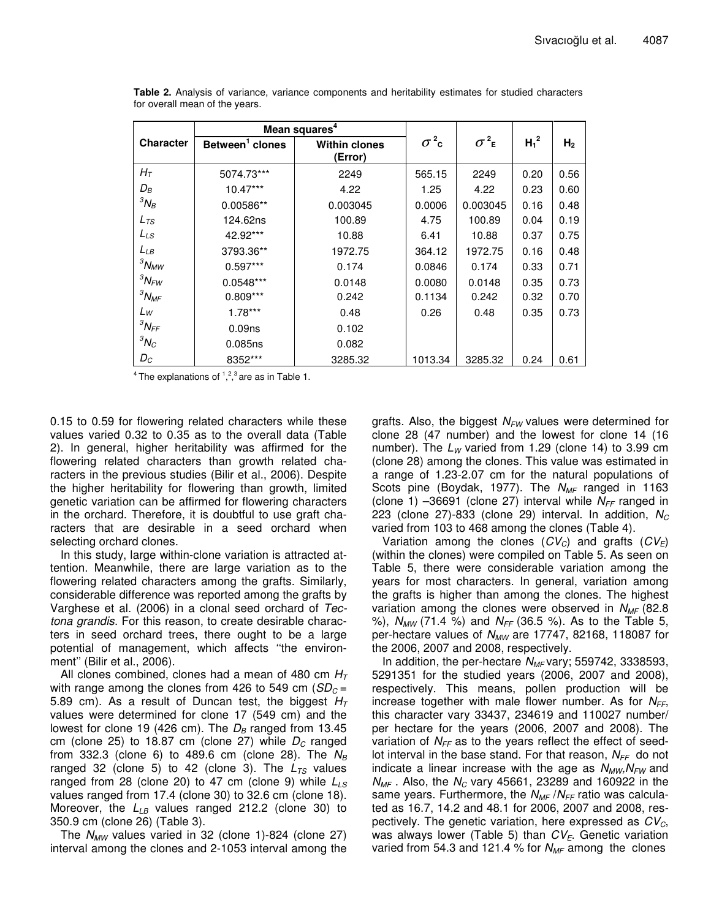|                  |                             | Mean squares <sup>4</sup>       |              |                         |         |                |
|------------------|-----------------------------|---------------------------------|--------------|-------------------------|---------|----------------|
| <b>Character</b> | Between <sup>1</sup> clones | <b>Within clones</b><br>(Error) | $\sigma^2$ c | $\sigma^2$ <sub>E</sub> | $H_1^2$ | H <sub>2</sub> |
| $H_T$            | 5074.73***                  | 2249                            | 565.15       | 2249                    | 0.20    | 0.56           |
| $D_B$            | $10.47***$                  | 4.22                            | 1.25         | 4.22                    | 0.23    | 0.60           |
| ${}^3N_B$        | 0.00586**                   | 0.003045                        | 0.0006       | 0.003045                | 0.16    | 0.48           |
| $L_{TS}$         | 124.62ns                    | 100.89                          | 4.75         | 100.89                  | 0.04    | 0.19           |
| $L_{LS}$         | 42.92***                    | 10.88                           | 6.41         | 10.88                   | 0.37    | 0.75           |
| $L_{LB}$         | 3793.36**                   | 1972.75                         | 364.12       | 1972.75                 | 0.16    | 0.48           |
| ${}^3N_{MW}$     | $0.597***$                  | 0.174                           | 0.0846       | 0.174                   | 0.33    | 0.71           |
| ${}^3N_{FW}$     | $0.0548***$                 | 0.0148                          | 0.0080       | 0.0148                  | 0.35    | 0.73           |
| ${}^3N_{MF}$     | $0.809***$                  | 0.242                           | 0.1134       | 0.242                   | 0.32    | 0.70           |
| $L_W$            | $1.78***$                   | 0.48                            | 0.26         | 0.48                    | 0.35    | 0.73           |
| ${}^3N$ FF       | 0.09 <sub>ns</sub>          | 0.102                           |              |                         |         |                |
| ${}^3N_C$        | 0.085ns                     | 0.082                           |              |                         |         |                |
| $D_{C}$          | 8352***                     | 3285.32                         | 1013.34      | 3285.32                 | 0.24    | 0.61           |

**Table 2.** Analysis of variance, variance components and heritability estimates for studied characters for overall mean of the years.

<sup>4</sup> The explanations of  $1, 2, 3$  are as in Table 1.

0.15 to 0.59 for flowering related characters while these values varied 0.32 to 0.35 as to the overall data (Table 2). In general, higher heritability was affirmed for the flowering related characters than growth related characters in the previous studies (Bilir et al., 2006). Despite the higher heritability for flowering than growth, limited genetic variation can be affirmed for flowering characters in the orchard. Therefore, it is doubtful to use graft characters that are desirable in a seed orchard when selecting orchard clones.

In this study, large within-clone variation is attracted attention. Meanwhile, there are large variation as to the flowering related characters among the grafts. Similarly, considerable difference was reported among the grafts by Varghese et al. (2006) in a clonal seed orchard of *Tectona grandis*. For this reason, to create desirable characters in seed orchard trees, there ought to be a large potential of management, which affects ''the environment'' (Bilir et al., 2006).

All clones combined, clones had a mean of 480 cm *H<sup>T</sup>* with range among the clones from 426 to 549 cm  $(SD<sub>C</sub> =$ 5.89 cm). As a result of Duncan test, the biggest *H<sup>T</sup>* values were determined for clone 17 (549 cm) and the lowest for clone 19 (426 cm). The  $D_B$  ranged from 13.45 cm (clone 25) to 18.87 cm (clone 27) while  $D_c$  ranged from 332.3 (clone 6) to 489.6 cm (clone 28). The *N<sup>B</sup>* ranged 32 (clone 5) to 42 (clone 3). The  $L_{TS}$  values ranged from 28 (clone 20) to 47 cm (clone 9) while *LLS* values ranged from 17.4 (clone 30) to 32.6 cm (clone 18). Moreover, the L<sub>LB</sub> values ranged 212.2 (clone 30) to 350.9 cm (clone 26) (Table 3).

The *NMW* values varied in 32 (clone 1)-824 (clone 27) interval among the clones and 2-1053 interval among the grafts. Also, the biggest *NFW* values were determined for clone 28 (47 number) and the lowest for clone 14 (16 number). The  $L_W$  varied from 1.29 (clone 14) to 3.99 cm (clone 28) among the clones. This value was estimated in a range of 1.23-2.07 cm for the natural populations of Scots pine (Boydak, 1977). The *NMF* ranged in 1163 (clone 1)  $-36691$  (clone 27) interval while  $N_{FF}$  ranged in 223 (clone 27)-833 (clone 29) interval. In addition, *N<sup>C</sup>* varied from 103 to 468 among the clones (Table 4).

Variation among the clones (*CVC*) and grafts (*CVE*) (within the clones) were compiled on Table 5. As seen on Table 5, there were considerable variation among the years for most characters. In general, variation among the grafts is higher than among the clones. The highest variation among the clones were observed in *NMF* (82.8 %), *NMW* (71.4 %) and *NFF* (36.5 %). As to the Table 5, per-hectare values of *NMW* are 17747, 82168, 118087 for the 2006, 2007 and 2008, respectively.

In addition, the per-hectare *N<sub>MF</sub>* vary; 559742, 3338593, 5291351 for the studied years (2006, 2007 and 2008), respectively. This means, pollen production will be increase together with male flower number. As for *NFF*, this character vary 33437, 234619 and 110027 number/ per hectare for the years (2006, 2007 and 2008). The variation of *NFF* as to the years reflect the effect of seedlot interval in the base stand. For that reason, *NFF* do not indicate a linear increase with the age as  $N_{MW}N_{FW}$  and *NMF* . Also, the *N<sup>C</sup>* vary 45661, 23289 and 160922 in the same years. Furthermore, the *NMF* /*NFF* ratio was calculated as 16.7, 14.2 and 48.1 for 2006, 2007 and 2008, respectively. The genetic variation, here expressed as *CVC*, was always lower (Table 5) than *CVE*. Genetic variation varied from 54.3 and 121.4 % for *NMF* among the clones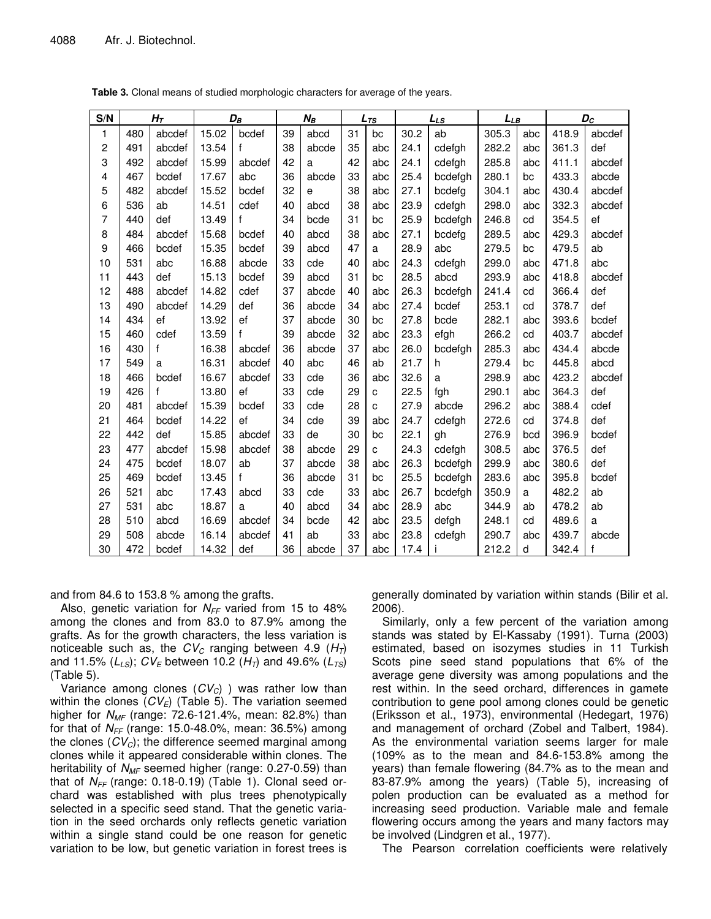| S/N                     |     | $H_T$        |       | $D_B$        |    | $N_B$ |    | $L_{TS}$ | $L_{LS}$ |         | LLB   |     | $D_C$ |        |
|-------------------------|-----|--------------|-------|--------------|----|-------|----|----------|----------|---------|-------|-----|-------|--------|
| 1                       | 480 | abcdef       | 15.02 | bcdef        | 39 | abcd  | 31 | bc       | 30.2     | ab      | 305.3 | abc | 418.9 | abcdef |
| 2                       | 491 | abcdef       | 13.54 | f            | 38 | abcde | 35 | abc      | 24.1     | cdefgh  | 282.2 | abc | 361.3 | def    |
| 3                       | 492 | abcdef       | 15.99 | abcdef       | 42 | a     | 42 | abc      | 24.1     | cdefgh  | 285.8 | abc | 411.1 | abcdef |
| $\overline{\mathbf{4}}$ | 467 | bcdef        | 17.67 | abc          | 36 | abcde | 33 | abc      | 25.4     | bcdefgh | 280.1 | bc  | 433.3 | abcde  |
| 5                       | 482 | abcdef       | 15.52 | bcdef        | 32 | e     | 38 | abc      | 27.1     | bcdefg  | 304.1 | abc | 430.4 | abcdef |
| 6                       | 536 | ab           | 14.51 | cdef         | 40 | abcd  | 38 | abc      | 23.9     | cdefgh  | 298.0 | abc | 332.3 | abcdef |
| 7                       | 440 | def          | 13.49 | f            | 34 | bcde  | 31 | bc       | 25.9     | bcdefgh | 246.8 | cd  | 354.5 | ef     |
| 8                       | 484 | abcdef       | 15.68 | bcdef        | 40 | abcd  | 38 | abc      | 27.1     | bcdefg  | 289.5 | abc | 429.3 | abcdef |
| 9                       | 466 | bcdef        | 15.35 | bcdef        | 39 | abcd  | 47 | a        | 28.9     | abc     | 279.5 | bc  | 479.5 | ab     |
| 10                      | 531 | abc          | 16.88 | abcde        | 33 | cde   | 40 | abc      | 24.3     | cdefgh  | 299.0 | abc | 471.8 | abc    |
| 11                      | 443 | def          | 15.13 | bcdef        | 39 | abcd  | 31 | bc       | 28.5     | abcd    | 293.9 | abc | 418.8 | abcdef |
| 12                      | 488 | abcdef       | 14.82 | cdef         | 37 | abcde | 40 | abc      | 26.3     | bcdefgh | 241.4 | cd  | 366.4 | def    |
| 13                      | 490 | abcdef       | 14.29 | def          | 36 | abcde | 34 | abc      | 27.4     | bcdef   | 253.1 | cd  | 378.7 | def    |
| 14                      | 434 | ef           | 13.92 | ef           | 37 | abcde | 30 | bc       | 27.8     | bcde    | 282.1 | abc | 393.6 | bcdef  |
| 15                      | 460 | cdef         | 13.59 | $\mathsf{f}$ | 39 | abcde | 32 | abc      | 23.3     | efgh    | 266.2 | cd  | 403.7 | abcdef |
| 16                      | 430 | $\mathsf{f}$ | 16.38 | abcdef       | 36 | abcde | 37 | abc      | 26.0     | bcdefgh | 285.3 | abc | 434.4 | abcde  |
| 17                      | 549 | a            | 16.31 | abcdef       | 40 | abc   | 46 | ab       | 21.7     | h       | 279.4 | bc  | 445.8 | abcd   |
| 18                      | 466 | bcdef        | 16.67 | abcdef       | 33 | cde   | 36 | abc      | 32.6     | a       | 298.9 | abc | 423.2 | abcdef |
| 19                      | 426 | $\mathsf{f}$ | 13.80 | ef           | 33 | cde   | 29 | C        | 22.5     | fgh     | 290.1 | abc | 364.3 | def    |
| 20                      | 481 | abcdef       | 15.39 | bcdef        | 33 | cde   | 28 | C        | 27.9     | abcde   | 296.2 | abc | 388.4 | cdef   |
| 21                      | 464 | bcdef        | 14.22 | ef           | 34 | cde   | 39 | abc      | 24.7     | cdefgh  | 272.6 | cd  | 374.8 | def    |
| 22                      | 442 | def          | 15.85 | abcdef       | 33 | de    | 30 | bc       | 22.1     | gh      | 276.9 | bcd | 396.9 | bcdef  |
| 23                      | 477 | abcdef       | 15.98 | abcdef       | 38 | abcde | 29 | C        | 24.3     | cdefgh  | 308.5 | abc | 376.5 | def    |
| 24                      | 475 | bcdef        | 18.07 | ab           | 37 | abcde | 38 | abc      | 26.3     | bcdefgh | 299.9 | abc | 380.6 | def    |
| 25                      | 469 | bcdef        | 13.45 | f            | 36 | abcde | 31 | bc       | 25.5     | bcdefgh | 283.6 | abc | 395.8 | bcdef  |
| 26                      | 521 | abc          | 17.43 | abcd         | 33 | cde   | 33 | abc      | 26.7     | bcdefgh | 350.9 | a   | 482.2 | ab     |
| 27                      | 531 | abc          | 18.87 | a            | 40 | abcd  | 34 | abc      | 28.9     | abc     | 344.9 | ab  | 478.2 | ab     |
| 28                      | 510 | abcd         | 16.69 | abcdef       | 34 | bcde  | 42 | abc      | 23.5     | defgh   | 248.1 | cd  | 489.6 | a      |
| 29                      | 508 | abcde        | 16.14 | abcdef       | 41 | ab    | 33 | abc      | 23.8     | cdefgh  | 290.7 | abc | 439.7 | abcde  |
| 30                      | 472 | bcdef        | 14.32 | def          | 36 | abcde | 37 | abc      | 17.4     |         | 212.2 | d   | 342.4 | f      |

Table 3. Clonal means of studied morphologic characters for average of the years.

and from 84.6 to 153.8 % among the grafts.

Also, genetic variation for  $N_{FF}$  varied from 15 to 48% among the clones and from 83.0 to 87.9% among the grafts. As for the growth characters, the less variation is noticeable such as, the  $CV_C$  ranging between 4.9 ( $H_T$ ) and 11.5% ( $L_{LS}$ );  $CV_E$  between 10.2 ( $H_T$ ) and 49.6% ( $L_{TS}$ )  $(Table 5)$ .

Variance among clones  $(CV_C)$  ) was rather low than within the clones  $(CV_E)$  (Table 5). The variation seemed higher for  $N_{MF}$  (range: 72.6-121.4%, mean: 82.8%) than for that of  $N_{FF}$  (range: 15.0-48.0%, mean: 36.5%) among the clones  $(CV_C)$ ; the difference seemed marginal among clones while it appeared considerable within clones. The heritability of  $N_{MF}$  seemed higher (range: 0.27-0.59) than that of  $N_{FF}$  (range: 0.18-0.19) (Table 1). Clonal seed orchard was established with plus trees phenotypically selected in a specific seed stand. That the genetic variation in the seed orchards only reflects genetic variation within a single stand could be one reason for genetic variation to be low, but genetic variation in forest trees is generally dominated by variation within stands (Bilir et al. 2006).

Similarly, only a few percent of the variation among stands was stated by El-Kassaby (1991). Turna (2003) estimated, based on isozymes studies in 11 Turkish Scots pine seed stand populations that 6% of the average gene diversity was among populations and the rest within. In the seed orchard, differences in gamete contribution to gene pool among clones could be genetic (Eriksson et al., 1973), environmental (Hedegart, 1976) and management of orchard (Zobel and Talbert, 1984). As the environmental variation seems larger for male  $(109\%$  as to the mean and 84.6-153.8% among the years) than female flowering (84.7% as to the mean and 83-87.9% among the years) (Table 5), increasing of polen production can be evaluated as a method for increasing seed production. Variable male and female flowering occurs among the years and many factors may be involved (Lindgren et al., 1977).

The Pearson correlation coefficients were relatively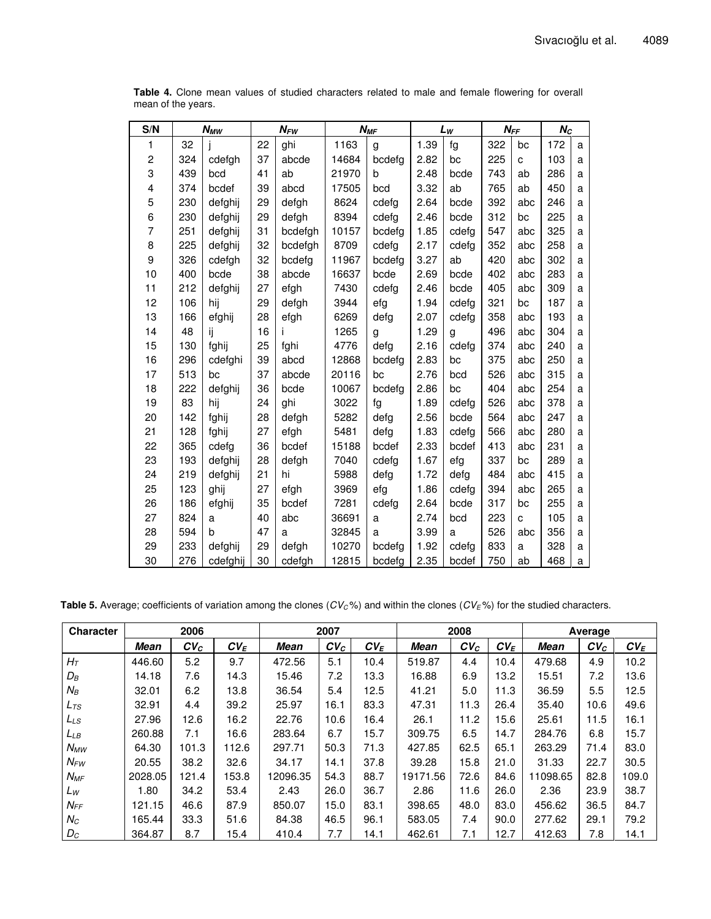| S/N            | <b>N<sub>MW</sub></b> |          |    | $N_{FW}$ |       | $N_{MF}$ | $L_W$ |       | $N_{FF}$ |     | $N_C$ |   |
|----------------|-----------------------|----------|----|----------|-------|----------|-------|-------|----------|-----|-------|---|
| 1              | 32                    |          | 22 | ghi      | 1163  | g        | 1.39  | fg    | 322      | bc  | 172   | a |
| 2              | 324                   | cdefgh   | 37 | abcde    | 14684 | bcdefg   | 2.82  | bc    | 225      | C   | 103   | a |
| 3              | 439                   | bcd      | 41 | ab       | 21970 | b        | 2.48  | bcde  | 743      | ab  | 286   | a |
| 4              | 374                   | bcdef    | 39 | abcd     | 17505 | bcd      | 3.32  | ab    | 765      | ab  | 450   | a |
| 5              | 230                   | defghij  | 29 | defgh    | 8624  | cdefg    | 2.64  | bcde  | 392      | abc | 246   | a |
| 6              | 230                   | defghij  | 29 | defgh    | 8394  | cdefg    | 2.46  | bcde  | 312      | bc  | 225   | a |
| $\overline{7}$ | 251                   | defghij  | 31 | bcdefgh  | 10157 | bcdefg   | 1.85  | cdefg | 547      | abc | 325   | a |
| 8              | 225                   | defghij  | 32 | bcdefgh  | 8709  | cdefg    | 2.17  | cdefg | 352      | abc | 258   | a |
| 9              | 326                   | cdefgh   | 32 | bcdefg   | 11967 | bcdefg   | 3.27  | ab    | 420      | abc | 302   | a |
| 10             | 400                   | bcde     | 38 | abcde    | 16637 | bcde     | 2.69  | bcde  | 402      | abc | 283   | a |
| 11             | 212                   | defghij  | 27 | efgh     | 7430  | cdefg    | 2.46  | bcde  | 405      | abc | 309   | a |
| 12             | 106                   | hij      | 29 | defgh    | 3944  | efg      | 1.94  | cdefg | 321      | bc  | 187   | a |
| 13             | 166                   | efghij   | 28 | efgh     | 6269  | defg     | 2.07  | cdefg | 358      | abc | 193   | a |
| 14             | 48                    | ij       | 16 |          | 1265  | g        | 1.29  | g     | 496      | abc | 304   | a |
| 15             | 130                   | fghij    | 25 | fghi     | 4776  | defg     | 2.16  | cdefg | 374      | abc | 240   | a |
| 16             | 296                   | cdefghi  | 39 | abcd     | 12868 | bcdefg   | 2.83  | bc    | 375      | abc | 250   | a |
| 17             | 513                   | bc       | 37 | abcde    | 20116 | bc       | 2.76  | bcd   | 526      | abc | 315   | a |
| 18             | 222                   | defghij  | 36 | bcde     | 10067 | bcdefg   | 2.86  | bс    | 404      | abc | 254   | a |
| 19             | 83                    | hij      | 24 | ghi      | 3022  | fg       | 1.89  | cdefg | 526      | abc | 378   | a |
| 20             | 142                   | fghij    | 28 | defgh    | 5282  | defg     | 2.56  | bcde  | 564      | abc | 247   | a |
| 21             | 128                   | fghij    | 27 | efgh     | 5481  | defg     | 1.83  | cdefg | 566      | abc | 280   | a |
| 22             | 365                   | cdefa    | 36 | bcdef    | 15188 | bcdef    | 2.33  | bcdef | 413      | abc | 231   | a |
| 23             | 193                   | defghij  | 28 | defgh    | 7040  | cdefg    | 1.67  | efg   | 337      | bc  | 289   | a |
| 24             | 219                   | defghij  | 21 | hi       | 5988  | defg     | 1.72  | defg  | 484      | abc | 415   | a |
| 25             | 123                   | ghij     | 27 | efgh     | 3969  | efg      | 1.86  | cdefg | 394      | abc | 265   | a |
| 26             | 186                   | efghij   | 35 | bcdef    | 7281  | cdefg    | 2.64  | bcde  | 317      | bc  | 255   | a |
| 27             | 824                   | a        | 40 | abc      | 36691 | a        | 2.74  | bcd   | 223      | C   | 105   | a |
| 28             | 594                   | b        | 47 | a        | 32845 | a        | 3.99  | a     | 526      | abc | 356   | a |
| 29             | 233                   | defghij  | 29 | defgh    | 10270 | bcdefg   | 1.92  | cdefg | 833      | a   | 328   | a |
| 30             | 276                   | cdefghij | 30 | cdefgh   | 12815 | bcdefg   | 2.35  | bcdef | 750      | ab  | 468   | a |

Table 4. Clone mean values of studied characters related to male and female flowering for overall mean of the years.

Table 5. Average; coefficients of variation among the clones ( $CV<sub>C</sub>$ %) and within the clones ( $CV<sub>E</sub>$ %) for the studied characters.

| <b>Character</b> | 2006        |        |        | 2007        |        |        | 2008        |        |        | Average     |        |        |
|------------------|-------------|--------|--------|-------------|--------|--------|-------------|--------|--------|-------------|--------|--------|
|                  | <b>Mean</b> | $CV_C$ | $CV_E$ | <b>Mean</b> | $CV_C$ | $CV_E$ | <b>Mean</b> | $CV_C$ | $CV_E$ | <b>Mean</b> | $CV_C$ | $CV_E$ |
| $H_T$            | 446.60      | 5.2    | 9.7    | 472.56      | 5.1    | 10.4   | 519.87      | 4.4    | 10.4   | 479.68      | 4.9    | 10.2   |
| $D_B$            | 14.18       | 7.6    | 14.3   | 15.46       | 7.2    | 13.3   | 16.88       | 6.9    | 13.2   | 15.51       | 7.2    | 13.6   |
| $N_B$            | 32.01       | 6.2    | 13.8   | 36.54       | 5.4    | 12.5   | 41.21       | 5.0    | 11.3   | 36.59       | 5.5    | 12.5   |
| $L_{TS}$         | 32.91       | 4.4    | 39.2   | 25.97       | 16.1   | 83.3   | 47.31       | 11.3   | 26.4   | 35.40       | 10.6   | 49.6   |
| $L_{LS}$         | 27.96       | 12.6   | 16.2   | 22.76       | 10.6   | 16.4   | 26.1        | 11.2   | 15.6   | 25.61       | 11.5   | 16.1   |
| LLB              | 260.88      | 7.1    | 16.6   | 283.64      | 6.7    | 15.7   | 309.75      | 6.5    | 14.7   | 284.76      | 6.8    | 15.7   |
| $N_{MW}$         | 64.30       | 101.3  | 112.6  | 297.71      | 50.3   | 71.3   | 427.85      | 62.5   | 65.1   | 263.29      | 71.4   | 83.0   |
| $N_{FW}$         | 20.55       | 38.2   | 32.6   | 34.17       | 14.1   | 37.8   | 39.28       | 15.8   | 21.0   | 31.33       | 22.7   | 30.5   |
| $N_{MF}$         | 2028.05     | 121.4  | 153.8  | 12096.35    | 54.3   | 88.7   | 19171.56    | 72.6   | 84.6   | 11098.65    | 82.8   | 109.0  |
| Lw               | 1.80        | 34.2   | 53.4   | 2.43        | 26.0   | 36.7   | 2.86        | 11.6   | 26.0   | 2.36        | 23.9   | 38.7   |
| $N_{FF}$         | 121.15      | 46.6   | 87.9   | 850.07      | 15.0   | 83.1   | 398.65      | 48.0   | 83.0   | 456.62      | 36.5   | 84.7   |
| $N_C$            | 165.44      | 33.3   | 51.6   | 84.38       | 46.5   | 96.1   | 583.05      | 7.4    | 90.0   | 277.62      | 29.1   | 79.2   |
| $D_C$            | 364.87      | 8.7    | 15.4   | 410.4       | 7.7    | 14.1   | 462.61      | 7.1    | 12.7   | 412.63      | 7.8    | 14.1   |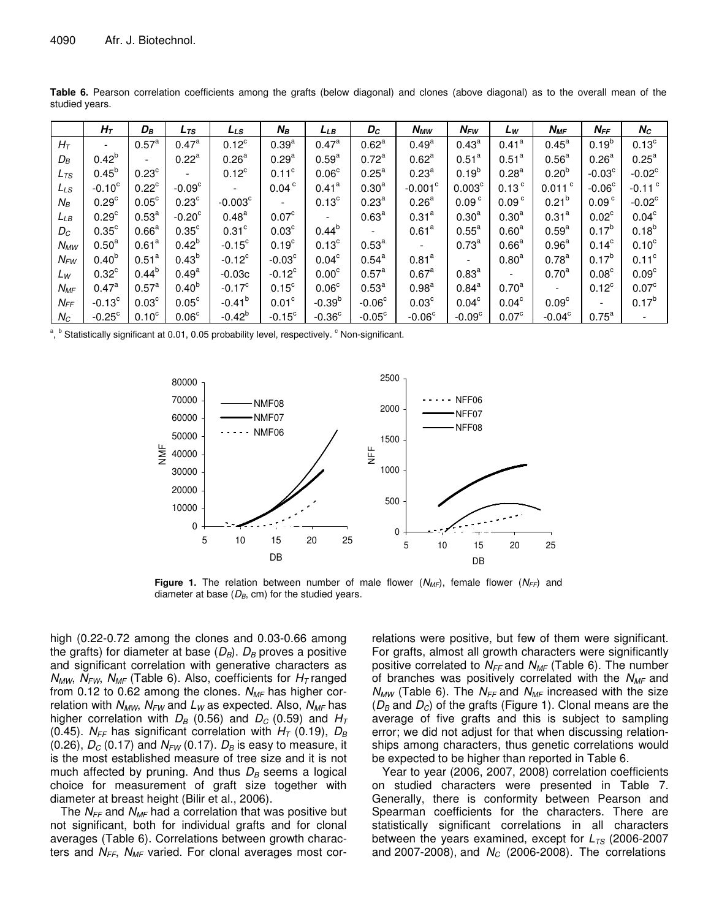|                 | $H_{\mathcal{T}}$    | $D_B$             | $L_{\mathcal{TS}}$   | LLs                      | $N_B$                    | LLB               | Dc                       | <b>N<sub>MW</sub></b> | $N_{FW}$           | Lw                | $N_{MF}$                 | $N_{FF}$          | $N_C$                |
|-----------------|----------------------|-------------------|----------------------|--------------------------|--------------------------|-------------------|--------------------------|-----------------------|--------------------|-------------------|--------------------------|-------------------|----------------------|
| $H_T$           |                      | $0.57^{\rm a}$    | $0.47^{\rm a}$       | $0.12^c$                 | 0.39 <sup>a</sup>        | $0.47^{\rm a}$    | 0.62 <sup>a</sup>        | $0.49^{a}$            | $0.43^{\text{a}}$  | 0.41 <sup>a</sup> | $0.45^{\text{a}}$        | $0.19^{b}$        | 0.13 <sup>c</sup>    |
| $D_B$           | $0.42^{b}$           |                   | $0.22^a$             | 0.26 <sup>a</sup>        | 0.29 <sup>a</sup>        | 0.59 <sup>a</sup> | 0.72 <sup>a</sup>        | 0.62 <sup>a</sup>     | 0.51 <sup>a</sup>  | 0.51 <sup>a</sup> | 0.56 <sup>a</sup>        | 0.26 <sup>a</sup> | $0.25^{\text{a}}$    |
| L <sub>TS</sub> | $0.45^{b}$           | 0.23 <sup>c</sup> |                      | $0.12^{\circ}$           | 0.11 <sup>c</sup>        | 0.06 <sup>c</sup> | 0.25 <sup>a</sup>        | 0.23 <sup>a</sup>     | $0.19^{b}$         | 0.28 <sup>a</sup> | $0.20^{b}$               | $-0.03c$          | $-0.02^{\circ}$      |
| LLs             | $-0.10^{\circ}$      | $0.22^{\circ}$    | $-0.09c$             | $\overline{\phantom{a}}$ | 0.04 <sup>c</sup>        | 0.41 <sup>a</sup> | 0.30 <sup>a</sup>        | $-0.001^{\circ}$      | 0.003 <sup>c</sup> | 0.13 <sup>c</sup> | $0.011$ $\degree$        | $-0.06^{\circ}$   | $-0.11$ <sup>c</sup> |
| $N_B$           | 0.29 <sup>c</sup>    | 0.05 <sup>c</sup> | $0.23^{\circ}$       | $-0.003^{\circ}$         | $\overline{\phantom{a}}$ | 0.13 <sup>c</sup> | 0.23 <sup>a</sup>        | 0.26 <sup>a</sup>     | 0.09 <sup>c</sup>  | 0.09 <sup>c</sup> | $0.21^{b}$               | 0.09 <sup>c</sup> | $-0.02^{\circ}$      |
| LLB             | 0.29 <sup>c</sup>    | $0.53^{a}$        | $-0.20$ <sup>c</sup> | $0.48^{a}$               | 0.07 <sup>c</sup>        |                   | 0.63 <sup>a</sup>        | 0.31 <sup>a</sup>     | 0.30 <sup>a</sup>  | 0.30 <sup>a</sup> | 0.31 <sup>a</sup>        | 0.02 <sup>c</sup> | 0.04 <sup>c</sup>    |
| $D_{C}$         | $0.35^{\circ}$       | 0.66 <sup>a</sup> | $0.35^{\circ}$       | $0.31$ <sup>c</sup>      | 0.03 <sup>c</sup>        | $0.44^{b}$        | $\overline{\phantom{a}}$ | 0.61 <sup>a</sup>     | 0.55 <sup>a</sup>  | 0.60 <sup>a</sup> | $0.59^{a}$               | $0.17^{b}$        | $0.18^{b}$           |
| $N_{MW}$        | $0.50^{\text{a}}$    | 0.61 <sup>a</sup> | $0.42^{b}$           | $-0.15^{\circ}$          | 0.19 <sup>c</sup>        | 0.13 <sup>c</sup> | 0.53 <sup>a</sup>        |                       | $0.73^{a}$         | 0.66 <sup>a</sup> | 0.96 <sup>a</sup>        | 0.14 <sup>c</sup> | 0.10 <sup>c</sup>    |
| $N_{FW}$        | $0.40^{b}$           | 0.51 <sup>a</sup> | $0.43^{b}$           | $-0.12^c$                | $-0.03c$                 | 0.04 <sup>c</sup> | $0.54^{a}$               | 0.81 <sup>a</sup>     |                    | 0.80 <sup>a</sup> | $0.78^{a}$               | $0.17^{b}$        | $0.11^{\circ}$       |
| Lw              | $0.32^{\circ}$       | $0.44^{b}$        | $0.49^\mathrm{a}$    | $-0.03c$                 | $-0.12^c$                | $0.00^\mathrm{c}$ | 0.57 <sup>a</sup>        | 0.67 <sup>a</sup>     | 0.83 <sup>a</sup>  |                   | 0.70 <sup>a</sup>        | 0.08 <sup>c</sup> | 0.09 <sup>c</sup>    |
| $N_{MF}$        | $0.47^{\text{a}}$    | $0.57^{\rm a}$    | $0.40^{b}$           | $-0.17^{\circ}$          | $0.15^{\circ}$           | 0.06 <sup>c</sup> | 0.53 <sup>a</sup>        | 0.98 <sup>a</sup>     | $0.84^{a}$         | $0.70^{a}$        | $\overline{\phantom{a}}$ | $0.12^c$          | 0.07 <sup>c</sup>    |
| $N_{FF}$        | $-0.13^c$            | 0.03 <sup>c</sup> | $0.05^{\circ}$       | $-0.41^{b}$              | 0.01 <sup>c</sup>        | $-0.39b$          | $-0.06^{\circ}$          | 0.03 <sup>c</sup>     | 0.04 <sup>c</sup>  | $0.04^\circ$      | 0.09 <sup>c</sup>        |                   | $0.17^{b}$           |
| $N_C$           | $-0.25$ <sup>c</sup> | 0.10 <sup>c</sup> | 0.06 <sup>c</sup>    | $-0.42^{b}$              | $-0.15^{\circ}$          | $-0.36^{\circ}$   | $-0.05^{\circ}$          | $-0.06^{\circ}$       | $-0.09^{\circ}$    | 0.07 <sup>c</sup> | $-0.04^{\circ}$          | $0.75^{\text{a}}$ |                      |

Table 6. Pearson correlation coefficients among the grafts (below diagonal) and clones (above diagonal) as to the overall mean of the studied years.

<sup>a</sup>, <sup>b</sup> Statistically significant at 0.01, 0.05 probability level, respectively. CNon-significant.



**Figure 1.** The relation between number of male flower  $(N_{MF})$ , female flower  $(N_{FF})$  and diameter at base  $(D_B, cm)$  for the studied years.

high  $(0.22-0.72$  among the clones and  $0.03-0.66$  among the grafts) for diameter at base  $(D_B)$ .  $D_B$  proves a positive and significant correlation with generative characters as  $N_{MW}$ ,  $N_{FW}$ ,  $N_{MF}$  (Table 6). Also, coefficients for  $H_T$  ranged from 0.12 to 0.62 among the clones.  $N_{MF}$  has higher correlation with  $N_{MW}$ ,  $N_{FW}$  and  $L_W$  as expected. Also,  $N_{MF}$  has higher correlation with  $D_B$  (0.56) and  $D_C$  (0.59) and  $H_T$ (0.45).  $N_{FF}$  has significant correlation with  $H_T$  (0.19),  $D_B$ (0.26),  $D_c$  (0.17) and  $N_{FW}$  (0.17).  $D_B$  is easy to measure, it is the most established measure of tree size and it is not much affected by pruning. And thus  $D_B$  seems a logical choice for measurement of graft size together with diameter at breast height (Bilir et al., 2006).

The  $N_{FF}$  and  $N_{MF}$  had a correlation that was positive but not significant, both for individual grafts and for clonal averages (Table 6). Correlations between growth characters and N<sub>FF</sub>, N<sub>MF</sub> varied. For clonal averages most cor-

relations were positive, but few of them were significant. For grafts, almost all growth characters were significantly positive correlated to  $N_{FF}$  and  $N_{MF}$  (Table 6). The number of branches was positively correlated with the  $N_{MF}$  and  $N_{MW}$  (Table 6). The  $N_{FF}$  and  $N_{MF}$  increased with the size  $(D_B$  and  $D_C$ ) of the grafts (Figure 1). Clonal means are the average of five grafts and this is subject to sampling error; we did not adjust for that when discussing relationships among characters, thus genetic correlations would be expected to be higher than reported in Table 6.

Year to year (2006, 2007, 2008) correlation coefficients on studied characters were presented in Table 7. Generally, there is conformity between Pearson and Spearman coefficients for the characters. There are statistically significant correlations in all characters between the years examined, except for  $L_{TS}$  (2006-2007 and 2007-2008), and  $N_c$  (2006-2008). The correlations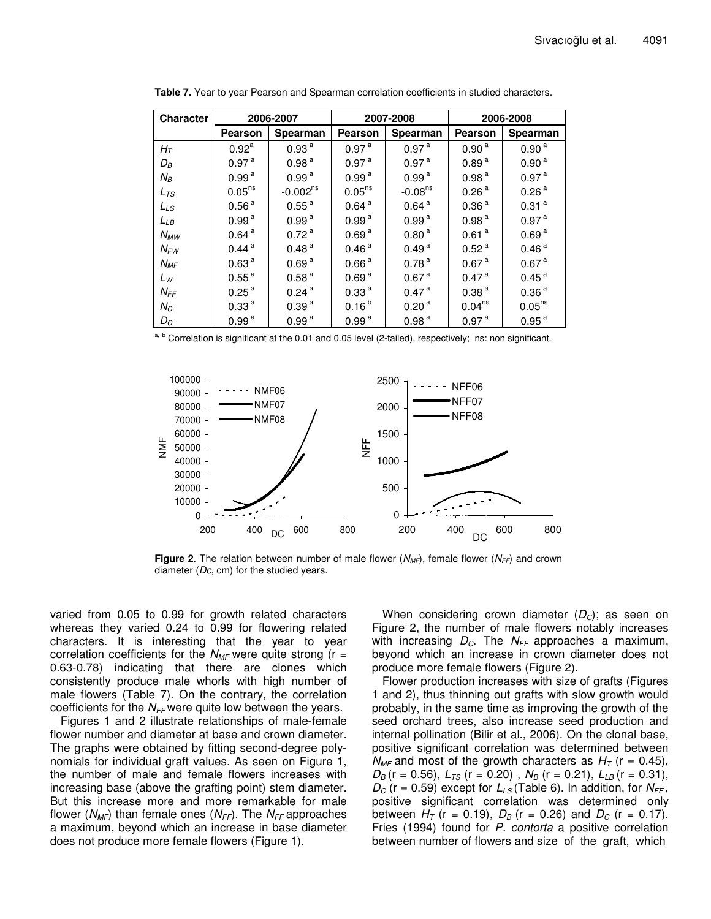| <b>Character</b> |                    | 2006-2007         |                    | 2007-2008         |                    | 2006-2008          |
|------------------|--------------------|-------------------|--------------------|-------------------|--------------------|--------------------|
|                  | Pearson            | <b>Spearman</b>   | Pearson            | <b>Spearman</b>   | Pearson            | Spearman           |
| $H_T$            | $0.92^{\text{a}}$  | 0.93 <sup>a</sup> | 0.97 <sup>a</sup>  | 0.97 <sup>a</sup> | 0.90 <sup>a</sup>  | 0.90 <sup>a</sup>  |
| $D_B$            | 0.97 <sup>a</sup>  | 0.98 <sup>a</sup> | 0.97 <sup>a</sup>  | 0.97 <sup>a</sup> | 0.89 <sup>a</sup>  | 0.90 <sup>a</sup>  |
| $N_B$            | 0.99 <sup>a</sup>  | 0.99 <sup>a</sup> | 0.99 <sup>a</sup>  | 0.99 <sup>a</sup> | 0.98 <sup>a</sup>  | 0.97 <sup>a</sup>  |
| $L_{TS}$         | 0.05 <sup>ns</sup> | $-0.002^{ns}$     | 0.05 <sup>ns</sup> | $-0.08ns$         | 0.26 <sup>a</sup>  | 0.26 <sup>a</sup>  |
| $L_{LS}$         | 0.56 <sup>a</sup>  | $0.55^{\text{a}}$ | 0.64 <sup>a</sup>  | 0.64 <sup>a</sup> | 0.36 <sup>a</sup>  | 0.31 <sup>a</sup>  |
| $L_{LB}$         | 0.99 <sup>a</sup>  | 0.99 <sup>a</sup> | 0.99 <sup>a</sup>  | 0.99 <sup>a</sup> | 0.98 <sup>a</sup>  | 0.97 <sup>a</sup>  |
| $N_{MW}$         | 0.64 <sup>a</sup>  | 0.72 <sup>a</sup> | 0.69 <sup>a</sup>  | 0.80 <sup>a</sup> | 0.61 <sup>a</sup>  | 0.69 <sup>a</sup>  |
| $N_{FW}$         | 0.44 <sup>a</sup>  | 0.48 <sup>a</sup> | 0.46 <sup>a</sup>  | 0.49 <sup>a</sup> | 0.52 <sup>a</sup>  | 0.46 <sup>a</sup>  |
| $N_{MF}$         | 0.63 <sup>a</sup>  | 0.69 <sup>a</sup> | 0.66 <sup>a</sup>  | 0.78 <sup>a</sup> | 0.67 <sup>a</sup>  | 0.67 <sup>a</sup>  |
| Lw               | 0.55 <sup>a</sup>  | 0.58 <sup>a</sup> | 0.69 <sup>a</sup>  | 0.67 <sup>a</sup> | 0.47 <sup>a</sup>  | 0.45 <sup>a</sup>  |
| $N_{FF}$         | 0.25 <sup>a</sup>  | 0.24 <sup>a</sup> | 0.33 <sup>a</sup>  | 0.47 <sup>a</sup> | 0.38 <sup>a</sup>  | 0.36 <sup>a</sup>  |
| $N_C$            | 0.33 <sup>a</sup>  | 0.39 <sup>a</sup> | $0.16^{b}$         | 0.20 <sup>a</sup> | 0.04 <sup>ns</sup> | 0.05 <sup>ns</sup> |
| $D_C$            | 0.99 <sup>a</sup>  | 0.99 <sup>a</sup> | 0.99 <sup>a</sup>  | 0.98 <sup>a</sup> | 0.97 <sup>a</sup>  | 0.95 <sup>a</sup>  |

Table 7. Year to year Pearson and Spearman correlation coefficients in studied characters.

Correlation is significant at the 0.01 and 0.05 level (2-tailed), respectively; ns: non significant.



Figure 2. The relation between number of male flower ( $N_{MF}$ ), female flower ( $N_{FF}$ ) and crown diameter ( $Dc$ , cm) for the studied years.

varied from 0.05 to 0.99 for growth related characters whereas they varied 0.24 to 0.99 for flowering related characters. It is interesting that the year to year correlation coefficients for the  $N_{MF}$  were quite strong (r = 0.63-0.78) indicating that there are clones which consistently produce male whorls with high number of male flowers (Table 7). On the contrary, the correlation coefficients for the  $N_{FF}$  were quite low between the years.

Figures 1 and 2 illustrate relationships of male-female flower number and diameter at base and crown diameter. The graphs were obtained by fitting second-degree polynomials for individual graft values. As seen on Figure 1, the number of male and female flowers increases with increasing base (above the grafting point) stem diameter. But this increase more and more remarkable for male flower ( $N_{MF}$ ) than female ones ( $N_{FF}$ ). The  $N_{FF}$  approaches a maximum, beyond which an increase in base diameter does not produce more female flowers (Figure 1).

When considering crown diameter  $(D<sub>c</sub>)$ ; as seen on Figure 2, the number of male flowers notably increases with increasing  $D_c$ . The  $N_{FF}$  approaches a maximum, beyond which an increase in crown diameter does not produce more female flowers (Figure 2).

Flower production increases with size of grafts (Figures 1 and 2), thus thinning out grafts with slow growth would probably, in the same time as improving the growth of the seed orchard trees, also increase seed production and internal pollination (Bilir et al., 2006). On the clonal base, positive significant correlation was determined between  $N_{MF}$  and most of the growth characters as  $H_T$  (r = 0.45),  $D_B$  (r = 0.56),  $L_{TS}$  (r = 0.20),  $N_B$  (r = 0.21),  $L_{LB}$  (r = 0.31),  $D_C$  (r = 0.59) except for  $L_{LS}$  (Table 6). In addition, for  $N_{FF}$ , positive significant correlation was determined only between  $H_T$  (r = 0.19),  $D_B$  (r = 0.26) and  $D_C$  (r = 0.17). Fries (1994) found for P. contorta a positive correlation between number of flowers and size of the graft, which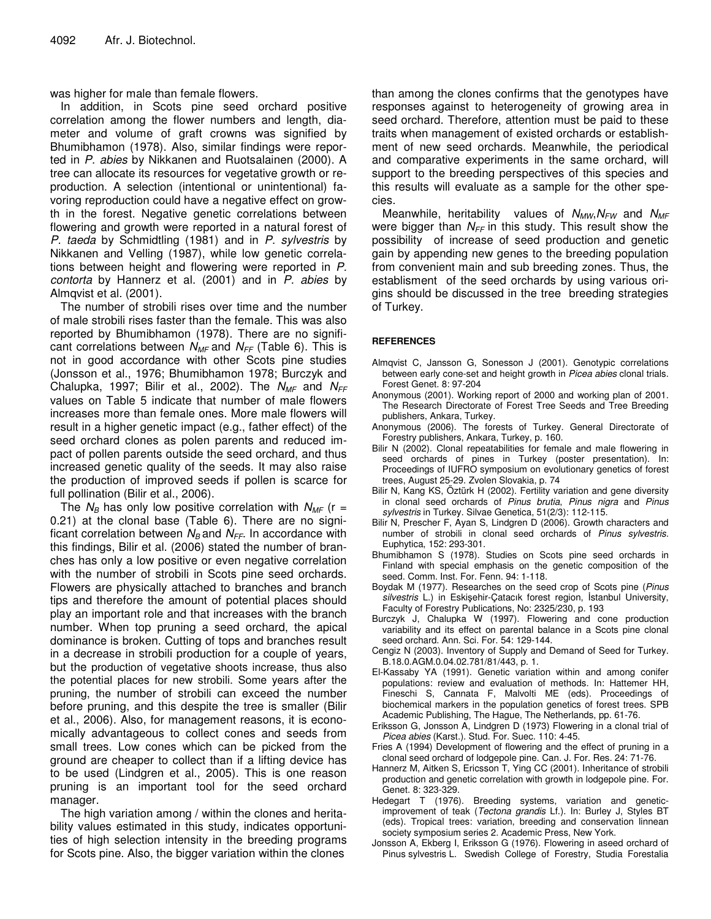was higher for male than female flowers.

In addition, in Scots pine seed orchard positive correlation among the flower numbers and length, diameter and volume of graft crowns was signified by Bhumibhamon (1978). Also, similar findings were reported in *P. abies* by Nikkanen and Ruotsalainen (2000). A tree can allocate its resources for vegetative growth or reproduction. A selection (intentional or unintentional) favoring reproduction could have a negative effect on growth in the forest. Negative genetic correlations between flowering and growth were reported in a natural forest of *P. taeda* by Schmidtling (1981) and in *P. sylvestris* by Nikkanen and Velling (1987), while low genetic correlations between height and flowering were reported in *P. contorta* by Hannerz et al. (2001) and in *P. abies* by Almqvist et al. (2001).

The number of strobili rises over time and the number of male strobili rises faster than the female. This was also reported by Bhumibhamon (1978). There are no significant correlations between *NMF* and *NFF* (Table 6). This is not in good accordance with other Scots pine studies (Jonsson et al., 1976; Bhumibhamon 1978; Burczyk and Chalupka, 1997; Bilir et al., 2002). The *NMF* and *NFF* values on Table 5 indicate that number of male flowers increases more than female ones. More male flowers will result in a higher genetic impact (e.g., father effect) of the seed orchard clones as polen parents and reduced impact of pollen parents outside the seed orchard, and thus increased genetic quality of the seeds. It may also raise the production of improved seeds if pollen is scarce for full pollination (Bilir et al., 2006).

The  $N_B$  has only low positive correlation with  $N_{MF}$  (r = 0.21) at the clonal base (Table 6). There are no significant correlation between  $N_B$  and  $N_{FF}$ . In accordance with this findings, Bilir et al. (2006) stated the number of branches has only a low positive or even negative correlation with the number of strobili in Scots pine seed orchards. Flowers are physically attached to branches and branch tips and therefore the amount of potential places should play an important role and that increases with the branch number. When top pruning a seed orchard, the apical dominance is broken. Cutting of tops and branches result in a decrease in strobili production for a couple of years, but the production of vegetative shoots increase, thus also the potential places for new strobili. Some years after the pruning, the number of strobili can exceed the number before pruning, and this despite the tree is smaller (Bilir et al., 2006). Also, for management reasons, it is economically advantageous to collect cones and seeds from small trees. Low cones which can be picked from the ground are cheaper to collect than if a lifting device has to be used (Lindgren et al., 2005). This is one reason pruning is an important tool for the seed orchard manager.

The high variation among / within the clones and heritability values estimated in this study, indicates opportunities of high selection intensity in the breeding programs for Scots pine. Also, the bigger variation within the clones

than among the clones confirms that the genotypes have responses against to heterogeneity of growing area in seed orchard. Therefore, attention must be paid to these traits when management of existed orchards or establishment of new seed orchards. Meanwhile, the periodical and comparative experiments in the same orchard, will support to the breeding perspectives of this species and this results will evaluate as a sample for the other species.

Meanwhile, heritability values of *NMW*,*NFW* and *NMF* were bigger than *NFF* in this study. This result show the possibility of increase of seed production and genetic gain by appending new genes to the breeding population from convenient main and sub breeding zones. Thus, the establisment of the seed orchards by using various origins should be discussed in the tree breeding strategies of Turkey.

## **REFERENCES**

- Almqvist C, Jansson G, Sonesson J (2001). Genotypic correlations between early cone-set and height growth in *Picea abies* clonal trials. Forest Genet. 8: 97-204
- Anonymous (2001). Working report of 2000 and working plan of 2001. The Research Directorate of Forest Tree Seeds and Tree Breeding publishers, Ankara, Turkey.
- Anonymous (2006). The forests of Turkey. General Directorate of Forestry publishers, Ankara, Turkey, p. 160.
- Bilir N (2002). Clonal repeatabilities for female and male flowering in seed orchards of pines in Turkey (poster presentation). In: Proceedings of IUFRO symposium on evolutionary genetics of forest trees, August 25-29. Zvolen Slovakia, p. 74
- Bilir N, Kang KS, Öztürk H (2002). Fertility variation and gene diversity in clonal seed orchards of *Pinus brutia*, *Pinus nigra* and *Pinus sylvestris* in Turkey. Silvae Genetica, 51(2/3): 112-115.
- Bilir N, Prescher F, Ayan S, Lindgren D (2006). Growth characters and number of strobili in clonal seed orchards of *Pinus sylvestris.* Euphytica, 152: 293-301.
- Bhumibhamon S (1978). Studies on Scots pine seed orchards in Finland with special emphasis on the genetic composition of the seed. Comm. Inst. For. Fenn. 94: 1-118.
- Boydak M (1977). Researches on the seed crop of Scots pine (*Pinus* silvestris L.) in Eskişehir-Çatacık forest region, İstanbul University, Faculty of Forestry Publications, No: 2325/230, p. 193
- Burczyk J, Chalupka W (1997). Flowering and cone production variability and its effect on parental balance in a Scots pine clonal seed orchard. Ann. Sci. For. 54: 129-144.
- Cengiz N (2003). Inventory of Supply and Demand of Seed for Turkey. B.18.0.AGM.0.04.02.781/81/443, p. 1.
- El-Kassaby YA (1991). Genetic variation within and among conifer populations: review and evaluation of methods. In: Hattemer HH, Fineschi S, Cannata F, Malvolti ME (eds). Proceedings of biochemical markers in the population genetics of forest trees. SPB Academic Publishing, The Hague, The Netherlands, pp. 61-76.
- Eriksson G, Jonsson A, Lindgren D (1973) Flowering in a clonal trial of *Picea abies* (Karst.). Stud. For. Suec. 110: 4-45.
- Fries A (1994) Development of flowering and the effect of pruning in a clonal seed orchard of lodgepole pine. Can. J. For. Res. 24: 71-76.
- Hannerz M, Aitken S, Ericsson T, Ying CC (2001). Inheritance of strobili production and genetic correlation with growth in lodgepole pine. For. Genet. 8: 323-329.
- Hedegart T (1976). Breeding systems, variation and geneticimprovement of teak (*Tectona grandis* Lf.). In: Burley J, Styles BT (eds). Tropical trees: variation, breeding and conservation linnean society symposium series 2. Academic Press, New York.
- Jonsson A, Ekberg I, Eriksson G (1976). Flowering in aseed orchard of Pinus sylvestris L. Swedish College of Forestry, Studia Forestalia